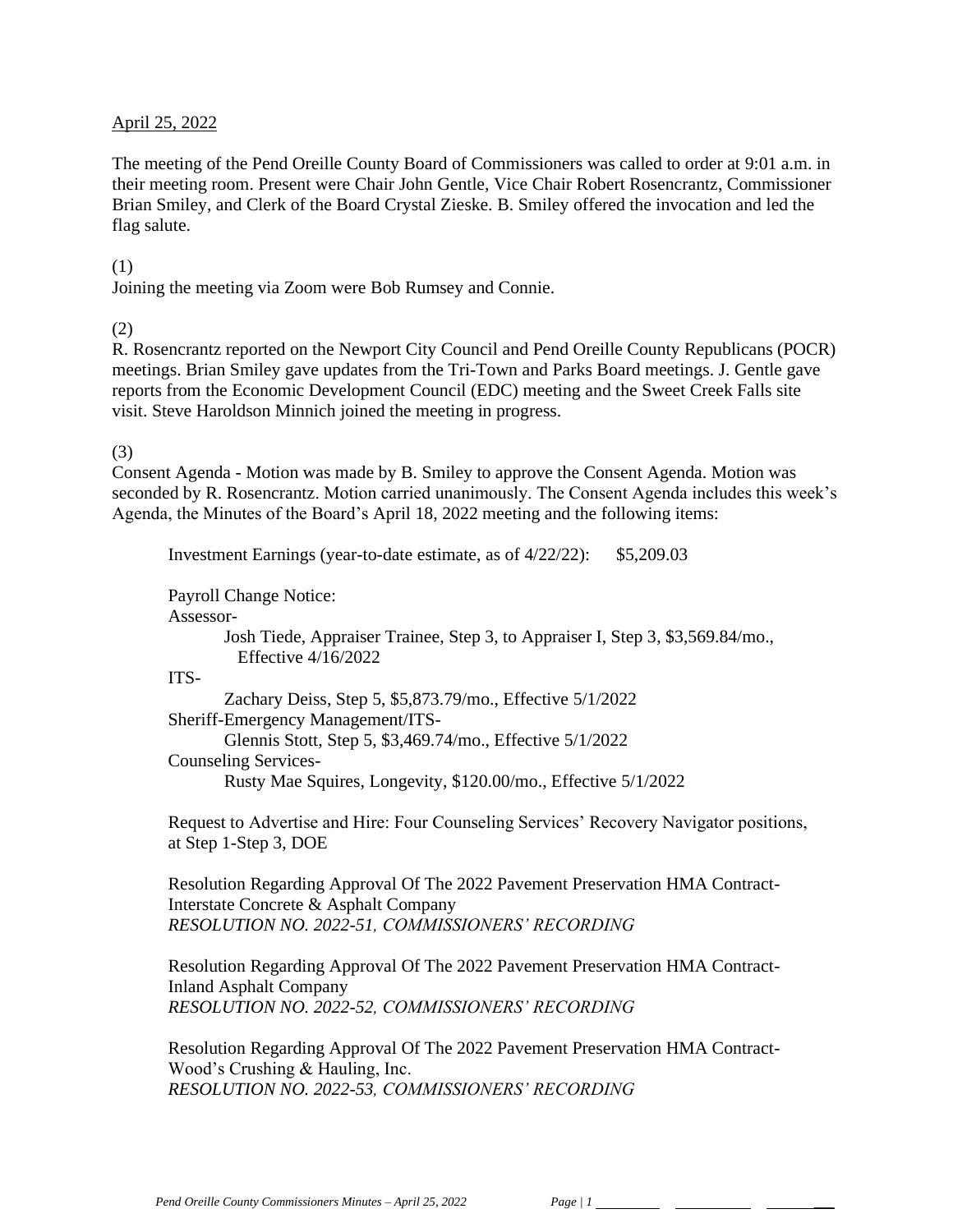#### April 25, 2022

The meeting of the Pend Oreille County Board of Commissioners was called to order at 9:01 a.m. in their meeting room. Present were Chair John Gentle, Vice Chair Robert Rosencrantz, Commissioner Brian Smiley, and Clerk of the Board Crystal Zieske. B. Smiley offered the invocation and led the flag salute.

#### (1)

Joining the meeting via Zoom were Bob Rumsey and Connie.

(2)

R. Rosencrantz reported on the Newport City Council and Pend Oreille County Republicans (POCR) meetings. Brian Smiley gave updates from the Tri-Town and Parks Board meetings. J. Gentle gave reports from the Economic Development Council (EDC) meeting and the Sweet Creek Falls site visit. Steve Haroldson Minnich joined the meeting in progress.

#### (3)

Consent Agenda - Motion was made by B. Smiley to approve the Consent Agenda. Motion was seconded by R. Rosencrantz. Motion carried unanimously. The Consent Agenda includes this week's Agenda, the Minutes of the Board's April 18, 2022 meeting and the following items:

Investment Earnings (year-to-date estimate, as of 4/22/22): \$5,209.03

Payroll Change Notice:

Assessor-

Josh Tiede, Appraiser Trainee, Step 3, to Appraiser I, Step 3, \$3,569.84/mo., Effective 4/16/2022

ITS-

Zachary Deiss, Step 5, \$5,873.79/mo., Effective 5/1/2022 Sheriff-Emergency Management/ITS-Glennis Stott, Step 5, \$3,469.74/mo., Effective 5/1/2022 Counseling Services-Rusty Mae Squires, Longevity, \$120.00/mo., Effective 5/1/2022

Request to Advertise and Hire: Four Counseling Services' Recovery Navigator positions, at Step 1-Step 3, DOE

Resolution Regarding Approval Of The 2022 Pavement Preservation HMA Contract-Interstate Concrete & Asphalt Company *RESOLUTION NO. 2022-51, COMMISSIONERS' RECORDING* 

Resolution Regarding Approval Of The 2022 Pavement Preservation HMA Contract-Inland Asphalt Company *RESOLUTION NO. 2022-52, COMMISSIONERS' RECORDING* 

Resolution Regarding Approval Of The 2022 Pavement Preservation HMA Contract-Wood's Crushing & Hauling, Inc. *RESOLUTION NO. 2022-53, COMMISSIONERS' RECORDING*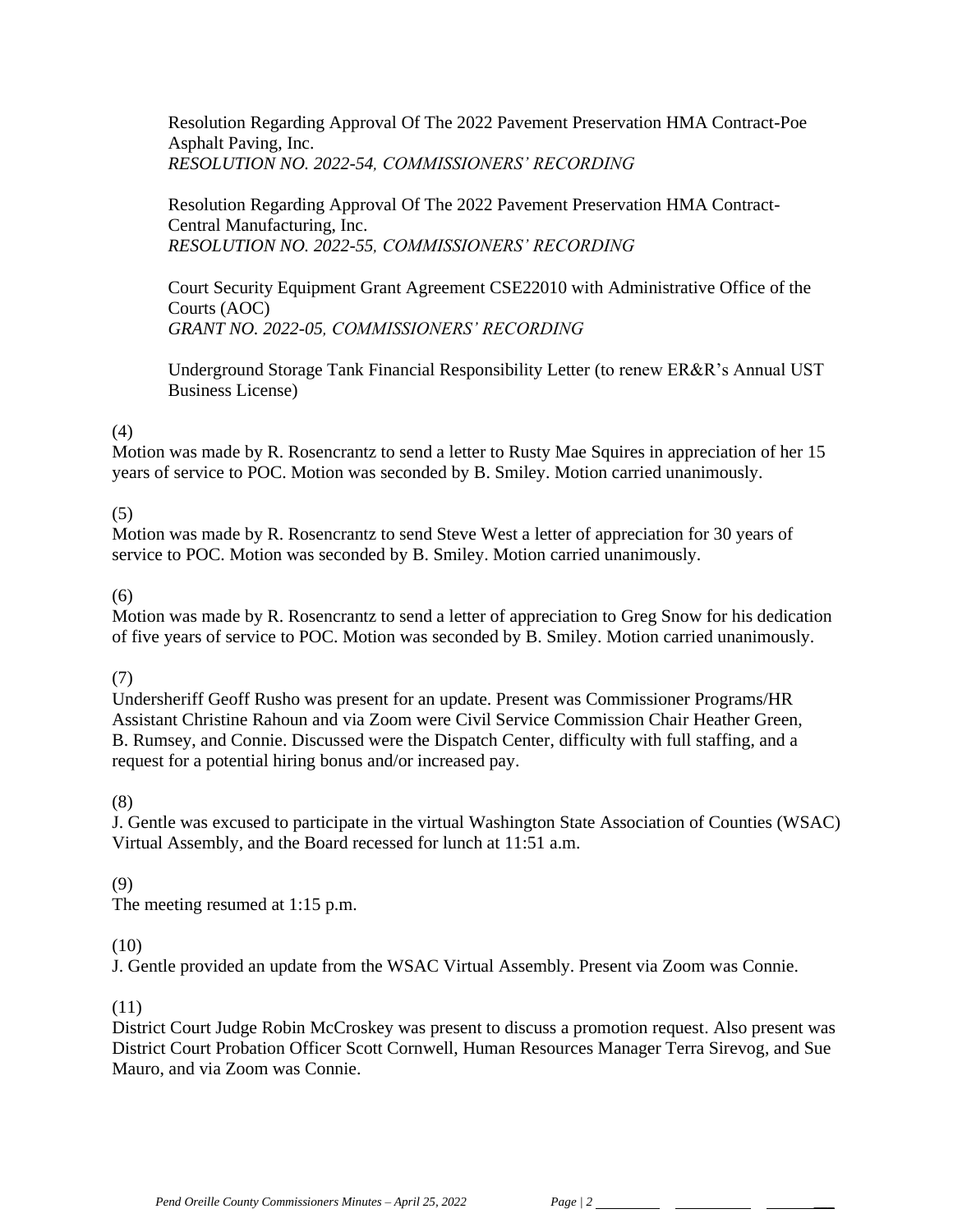Resolution Regarding Approval Of The 2022 Pavement Preservation HMA Contract-Poe Asphalt Paving, Inc. *RESOLUTION NO. 2022-54, COMMISSIONERS' RECORDING* 

Resolution Regarding Approval Of The 2022 Pavement Preservation HMA Contract-Central Manufacturing, Inc. *RESOLUTION NO. 2022-55, COMMISSIONERS' RECORDING* 

Court Security Equipment Grant Agreement CSE22010 with Administrative Office of the Courts (AOC) *GRANT NO. 2022-05, COMMISSIONERS' RECORDING* 

Underground Storage Tank Financial Responsibility Letter (to renew ER&R's Annual UST Business License)

### (4)

Motion was made by R. Rosencrantz to send a letter to Rusty Mae Squires in appreciation of her 15 years of service to POC. Motion was seconded by B. Smiley. Motion carried unanimously.

# (5)

Motion was made by R. Rosencrantz to send Steve West a letter of appreciation for 30 years of service to POC. Motion was seconded by B. Smiley. Motion carried unanimously.

### (6)

Motion was made by R. Rosencrantz to send a letter of appreciation to Greg Snow for his dedication of five years of service to POC. Motion was seconded by B. Smiley. Motion carried unanimously.

### (7)

Undersheriff Geoff Rusho was present for an update. Present was Commissioner Programs/HR Assistant Christine Rahoun and via Zoom were Civil Service Commission Chair Heather Green, B. Rumsey, and Connie. Discussed were the Dispatch Center, difficulty with full staffing, and a request for a potential hiring bonus and/or increased pay.

### (8)

J. Gentle was excused to participate in the virtual Washington State Association of Counties (WSAC) Virtual Assembly, and the Board recessed for lunch at 11:51 a.m.

### (9)

The meeting resumed at 1:15 p.m.

### (10)

J. Gentle provided an update from the WSAC Virtual Assembly. Present via Zoom was Connie.

### (11)

District Court Judge Robin McCroskey was present to discuss a promotion request. Also present was District Court Probation Officer Scott Cornwell, Human Resources Manager Terra Sirevog, and Sue Mauro, and via Zoom was Connie.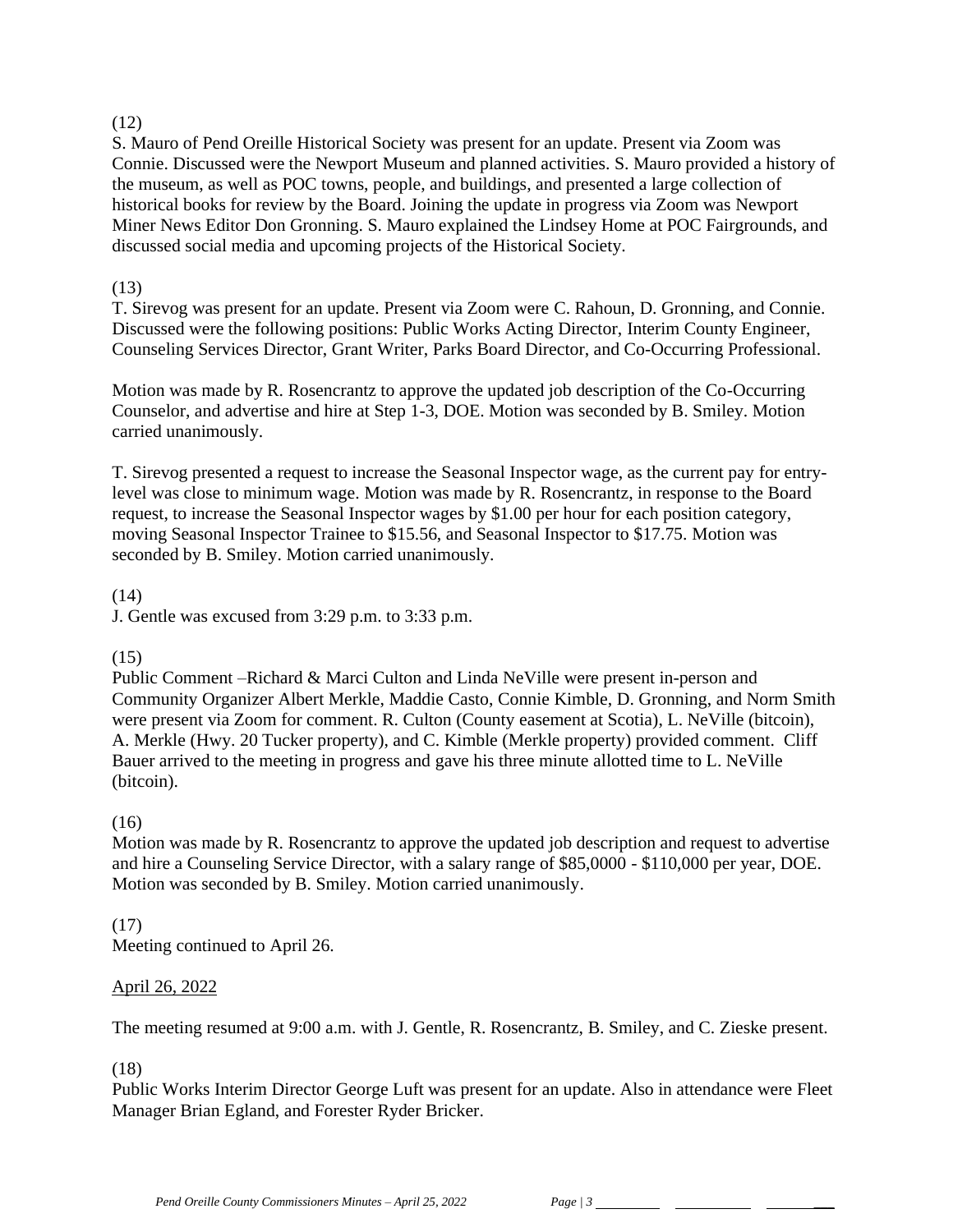### $(12)$

S. Mauro of Pend Oreille Historical Society was present for an update. Present via Zoom was Connie. Discussed were the Newport Museum and planned activities. S. Mauro provided a history of the museum, as well as POC towns, people, and buildings, and presented a large collection of historical books for review by the Board. Joining the update in progress via Zoom was Newport Miner News Editor Don Gronning. S. Mauro explained the Lindsey Home at POC Fairgrounds, and discussed social media and upcoming projects of the Historical Society.

## (13)

T. Sirevog was present for an update. Present via Zoom were C. Rahoun, D. Gronning, and Connie. Discussed were the following positions: Public Works Acting Director, Interim County Engineer, Counseling Services Director, Grant Writer, Parks Board Director, and Co-Occurring Professional.

Motion was made by R. Rosencrantz to approve the updated job description of the Co-Occurring Counselor, and advertise and hire at Step 1-3, DOE. Motion was seconded by B. Smiley. Motion carried unanimously.

T. Sirevog presented a request to increase the Seasonal Inspector wage, as the current pay for entrylevel was close to minimum wage. Motion was made by R. Rosencrantz, in response to the Board request, to increase the Seasonal Inspector wages by \$1.00 per hour for each position category, moving Seasonal Inspector Trainee to \$15.56, and Seasonal Inspector to \$17.75. Motion was seconded by B. Smiley. Motion carried unanimously.

# (14)

J. Gentle was excused from 3:29 p.m. to 3:33 p.m.

# (15)

Public Comment –Richard & Marci Culton and Linda NeVille were present in-person and Community Organizer Albert Merkle, Maddie Casto, Connie Kimble, D. Gronning, and Norm Smith were present via Zoom for comment. R. Culton (County easement at Scotia), L. NeVille (bitcoin), A. Merkle (Hwy. 20 Tucker property), and C. Kimble (Merkle property) provided comment. Cliff Bauer arrived to the meeting in progress and gave his three minute allotted time to L. NeVille (bitcoin).

# (16)

Motion was made by R. Rosencrantz to approve the updated job description and request to advertise and hire a Counseling Service Director, with a salary range of \$85,0000 - \$110,000 per year, DOE. Motion was seconded by B. Smiley. Motion carried unanimously.

# (17)

Meeting continued to April 26.

### April 26, 2022

The meeting resumed at 9:00 a.m. with J. Gentle, R. Rosencrantz, B. Smiley, and C. Zieske present.

# (18)

Public Works Interim Director George Luft was present for an update. Also in attendance were Fleet Manager Brian Egland, and Forester Ryder Bricker.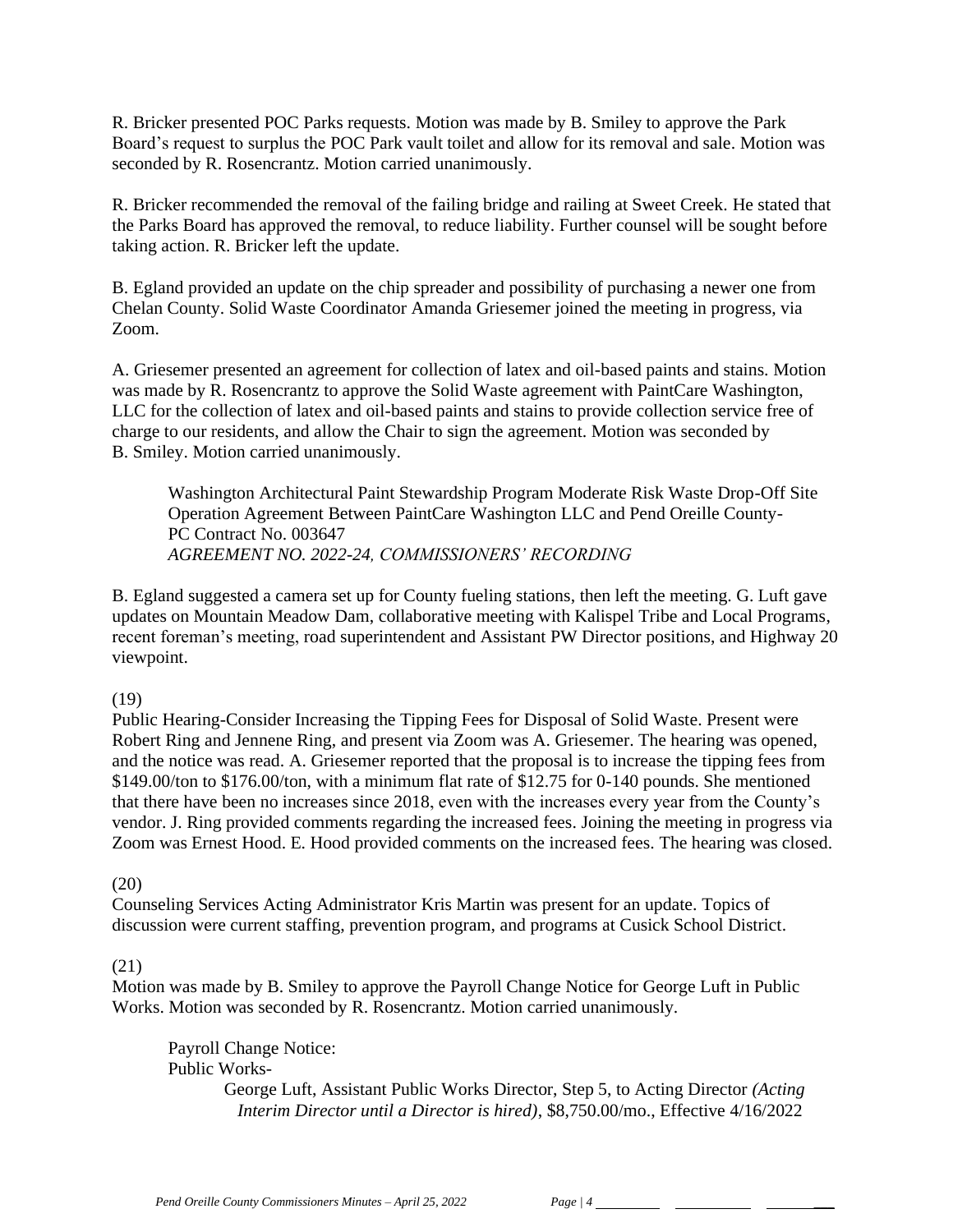R. Bricker presented POC Parks requests. Motion was made by B. Smiley to approve the Park Board's request to surplus the POC Park vault toilet and allow for its removal and sale. Motion was seconded by R. Rosencrantz. Motion carried unanimously.

R. Bricker recommended the removal of the failing bridge and railing at Sweet Creek. He stated that the Parks Board has approved the removal, to reduce liability. Further counsel will be sought before taking action. R. Bricker left the update.

B. Egland provided an update on the chip spreader and possibility of purchasing a newer one from Chelan County. Solid Waste Coordinator Amanda Griesemer joined the meeting in progress, via Zoom.

A. Griesemer presented an agreement for collection of latex and oil-based paints and stains. Motion was made by R. Rosencrantz to approve the Solid Waste agreement with PaintCare Washington, LLC for the collection of latex and oil-based paints and stains to provide collection service free of charge to our residents, and allow the Chair to sign the agreement. Motion was seconded by B. Smiley. Motion carried unanimously.

Washington Architectural Paint Stewardship Program Moderate Risk Waste Drop-Off Site Operation Agreement Between PaintCare Washington LLC and Pend Oreille County-PC Contract No. 003647 *AGREEMENT NO. 2022-24, COMMISSIONERS' RECORDING*

B. Egland suggested a camera set up for County fueling stations, then left the meeting. G. Luft gave updates on Mountain Meadow Dam, collaborative meeting with Kalispel Tribe and Local Programs, recent foreman's meeting, road superintendent and Assistant PW Director positions, and Highway 20 viewpoint.

### (19)

Public Hearing-Consider Increasing the Tipping Fees for Disposal of Solid Waste. Present were Robert Ring and Jennene Ring, and present via Zoom was A. Griesemer. The hearing was opened, and the notice was read. A. Griesemer reported that the proposal is to increase the tipping fees from \$149.00/ton to \$176.00/ton, with a minimum flat rate of \$12.75 for 0-140 pounds. She mentioned that there have been no increases since 2018, even with the increases every year from the County's vendor. J. Ring provided comments regarding the increased fees. Joining the meeting in progress via Zoom was Ernest Hood. E. Hood provided comments on the increased fees. The hearing was closed.

### (20)

Counseling Services Acting Administrator Kris Martin was present for an update. Topics of discussion were current staffing, prevention program, and programs at Cusick School District.

### (21)

Motion was made by B. Smiley to approve the Payroll Change Notice for George Luft in Public Works. Motion was seconded by R. Rosencrantz. Motion carried unanimously.

Payroll Change Notice: Public Works-

George Luft, Assistant Public Works Director, Step 5, to Acting Director *(Acting Interim Director until a Director is hired)*, \$8,750.00/mo., Effective 4/16/2022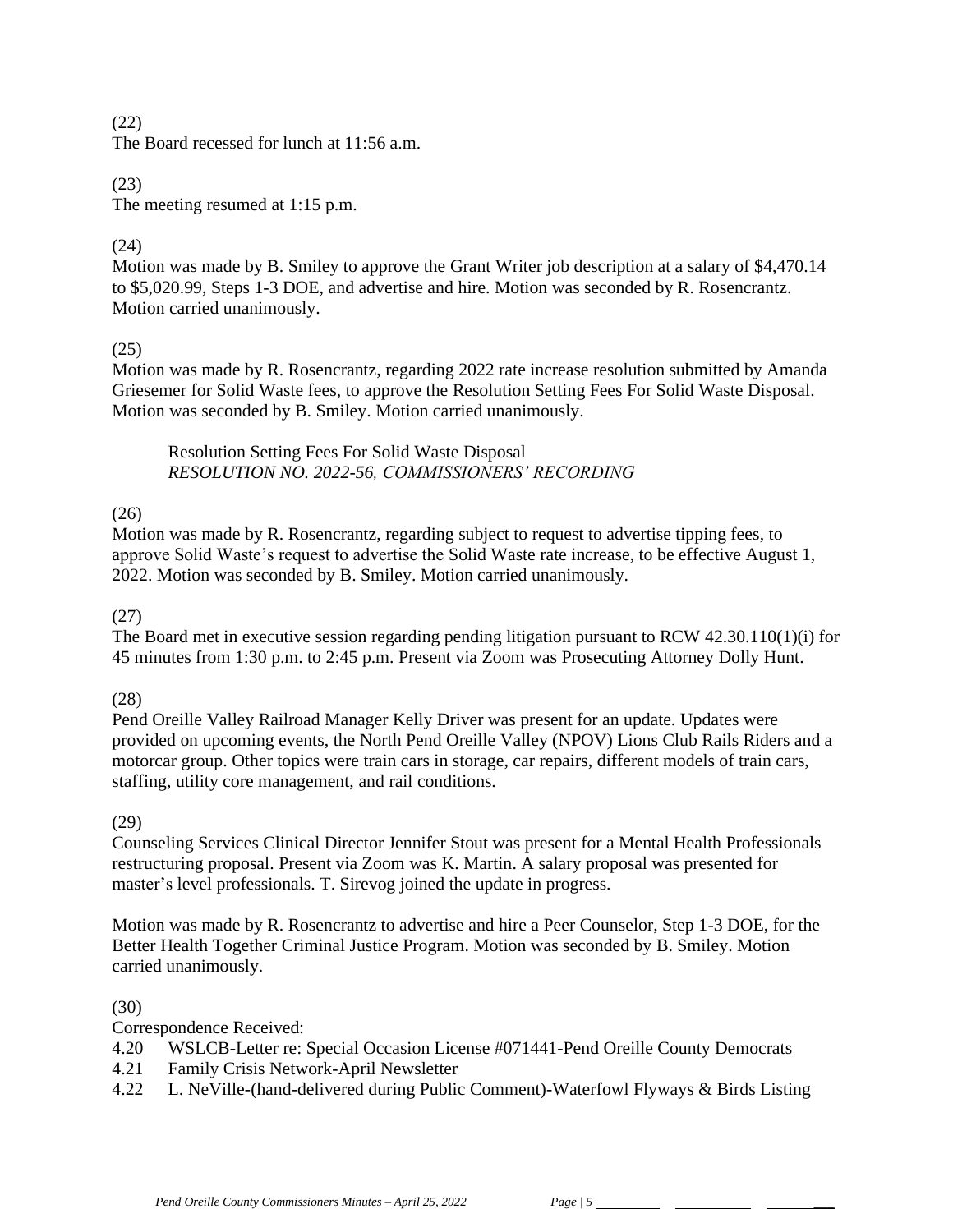#### (22)

The Board recessed for lunch at 11:56 a.m.

### (23)

The meeting resumed at 1:15 p.m.

### (24)

Motion was made by B. Smiley to approve the Grant Writer job description at a salary of \$4,470.14 to \$5,020.99, Steps 1-3 DOE, and advertise and hire. Motion was seconded by R. Rosencrantz. Motion carried unanimously.

### (25)

Motion was made by R. Rosencrantz, regarding 2022 rate increase resolution submitted by Amanda Griesemer for Solid Waste fees, to approve the Resolution Setting Fees For Solid Waste Disposal. Motion was seconded by B. Smiley. Motion carried unanimously.

Resolution Setting Fees For Solid Waste Disposal *RESOLUTION NO. 2022-56, COMMISSIONERS' RECORDING* 

# $(26)$

Motion was made by R. Rosencrantz, regarding subject to request to advertise tipping fees, to approve Solid Waste's request to advertise the Solid Waste rate increase, to be effective August 1, 2022. Motion was seconded by B. Smiley. Motion carried unanimously.

### (27)

The Board met in executive session regarding pending litigation pursuant to RCW 42.30.110(1)(i) for 45 minutes from 1:30 p.m. to 2:45 p.m. Present via Zoom was Prosecuting Attorney Dolly Hunt.

### (28)

Pend Oreille Valley Railroad Manager Kelly Driver was present for an update. Updates were provided on upcoming events, the North Pend Oreille Valley (NPOV) Lions Club Rails Riders and a motorcar group. Other topics were train cars in storage, car repairs, different models of train cars, staffing, utility core management, and rail conditions.

### (29)

Counseling Services Clinical Director Jennifer Stout was present for a Mental Health Professionals restructuring proposal. Present via Zoom was K. Martin. A salary proposal was presented for master's level professionals. T. Sirevog joined the update in progress.

Motion was made by R. Rosencrantz to advertise and hire a Peer Counselor, Step 1-3 DOE, for the Better Health Together Criminal Justice Program. Motion was seconded by B. Smiley. Motion carried unanimously.

### (30)

Correspondence Received:

- 4.20 WSLCB-Letter re: Special Occasion License #071441-Pend Oreille County Democrats
- 4.21 Family Crisis Network-April Newsletter
- 4.22 L. NeVille-(hand-delivered during Public Comment)-Waterfowl Flyways & Birds Listing